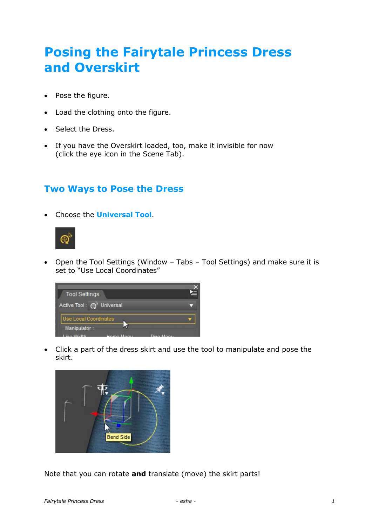# **Posing the Fairytale Princess Dress and Overskirt**

- Pose the figure.
- Load the clothing onto the figure.
- Select the Dress.
- If you have the Overskirt loaded, too, make it invisible for now (click the eye icon in the Scene Tab).

## **Two Ways to Pose the Dress**

Choose the **Universal Tool**.



 Open the Tool Settings (Window – Tabs – Tool Settings) and make sure it is set to "Use Local Coordinates"



 Click a part of the dress skirt and use the tool to manipulate and pose the skirt.



Note that you can rotate **and** translate (move) the skirt parts!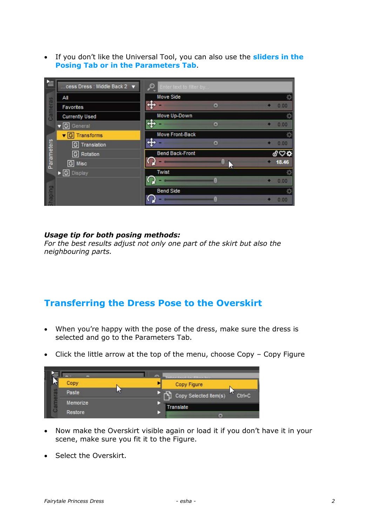If you don't like the Universal Tool, you can also use the **sliders in the Posing Tab or in the Parameters Tab**.

| $\equiv$   | cess Dress : Middle Back 2 ▼         | $\bullet$<br>Enter text to filter by |       |
|------------|--------------------------------------|--------------------------------------|-------|
| Cameras    | All                                  | Move Side                            |       |
|            | Favorites                            | Дú                                   | 0.00  |
|            | <b>Currently Used</b>                | Move Up-Down                         |       |
|            | $\sqrt{G}$ General                   | Æ                                    | 0.00  |
|            | Transforms<br>$\mathbf{v}$ [G]       | Move Front-Back                      |       |
|            | Translation<br>G                     |                                      | 0.00  |
| Parameters | Rotation<br> G                       | <b>Bend Back-Front</b>               |       |
|            | G Misc                               |                                      | 18.46 |
|            | $\triangleright$ $\boxed{G}$ Display | Twist                                |       |
| Burdeug    |                                      |                                      | 0.00  |
|            |                                      | <b>Bend Side</b>                     |       |
|            |                                      |                                      | 0.00  |

#### *Usage tip for both posing methods:*

*For the best results adjust not only one part of the skirt but also the neighbouring parts.*

### **Transferring the Dress Pose to the Overskirt**

- When you're happy with the pose of the dress, make sure the dress is selected and go to the Parameters Tab.
- Click the little arrow at the top of the menu, choose Copy Copy Figure



- Now make the Overskirt visible again or load it if you don't have it in your scene, make sure you fit it to the Figure.
- Select the Overskirt.